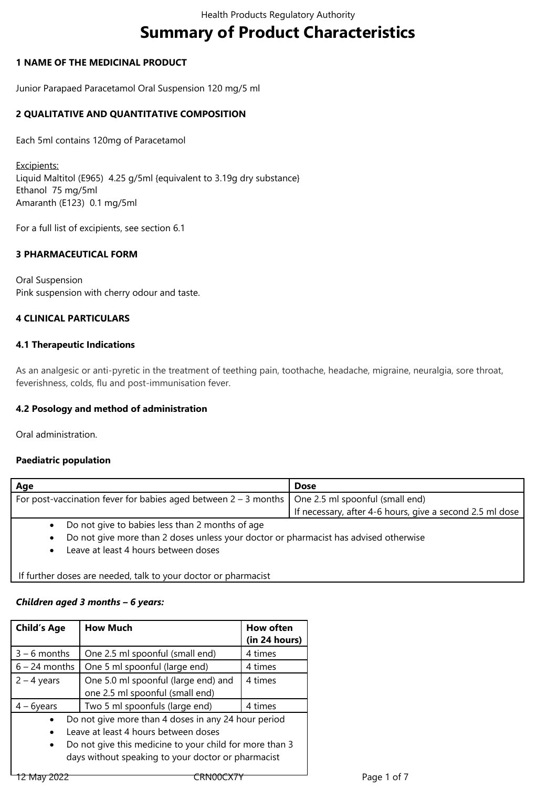# **Summary of Product Characteristics**

## **1 NAME OF THE MEDICINAL PRODUCT**

Junior Parapaed Paracetamol Oral Suspension 120 mg/5 ml

# **2 QUALITATIVE AND QUANTITATIVE COMPOSITION**

Each 5ml contains 120mg of Paracetamol

Excipients: Liquid Maltitol (E965) 4.25 g/5ml {equivalent to 3.19g dry substance} Ethanol 75 mg/5ml Amaranth (E123) 0.1 mg/5ml

For a full list of excipients, see section 6.1

# **3 PHARMACEUTICAL FORM**

Oral Suspension Pink suspension with cherry odour and taste.

# **4 CLINICAL PARTICULARS**

## **4.1 Therapeutic Indications**

As an analgesic or anti-pyretic in the treatment of teething pain, toothache, headache, migraine, neuralgia, sore throat, feverishness, colds, flu and post-immunisation fever.

# **4.2 Posology and method of administration**

Oral administration.

# **Paediatric population**

| Age                                                                                                 | <b>Dose</b>                                              |
|-----------------------------------------------------------------------------------------------------|----------------------------------------------------------|
| For post-vaccination fever for babies aged between $2 - 3$ months   One 2.5 ml spoonful (small end) |                                                          |
|                                                                                                     | If necessary, after 4-6 hours, give a second 2.5 ml dose |
| Do not give to babies less than 2 months of age<br>$\bullet$                                        |                                                          |
| Do not give more than 2 doses unless your doctor or pharmacist has advised otherwise<br>$\bullet$   |                                                          |
| Leave at least 4 hours between doses                                                                |                                                          |

If further doses are needed, talk to your doctor or pharmacist

# *Children aged 3 months – 6 years:*

| <b>Child's Age</b>                                                                                                                                                               | <b>How Much</b>                                                        | <b>How often</b><br>(in 24 hours) |
|----------------------------------------------------------------------------------------------------------------------------------------------------------------------------------|------------------------------------------------------------------------|-----------------------------------|
| $3 - 6$ months                                                                                                                                                                   | One 2.5 ml spoonful (small end)                                        | 4 times                           |
| $6 - 24$ months                                                                                                                                                                  | One 5 ml spoonful (large end)                                          | 4 times                           |
| $2 - 4$ years                                                                                                                                                                    | One 5.0 ml spoonful (large end) and<br>one 2.5 ml spoonful (small end) | 4 times                           |
| $4 - 6$ years                                                                                                                                                                    | Two 5 ml spoonfuls (large end)                                         | 4 times                           |
| Do not give more than 4 doses in any 24 hour period<br>Leave at least 4 hours between doses<br>$\bullet$<br>Do not give this medicine to your child for more than 3<br>$\bullet$ |                                                                        |                                   |
| days without speaking to your doctor or pharmacist                                                                                                                               |                                                                        |                                   |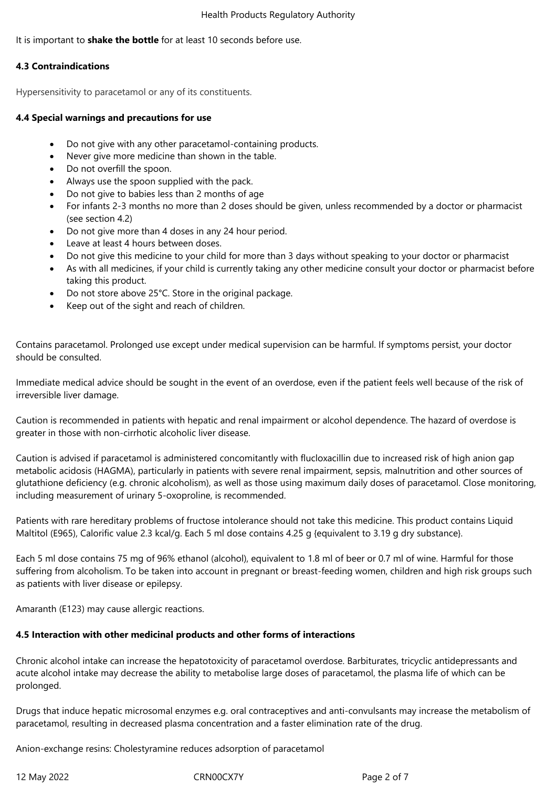## It is important to **shake the bottle** for at least 10 seconds before use.

## **4.3 Contraindications**

Hypersensitivity to paracetamol or any of its constituents.

## **4.4 Special warnings and precautions for use**

- Do not give with any other paracetamol-containing products.
- Never give more medicine than shown in the table.
- Do not overfill the spoon.
- Always use the spoon supplied with the pack.
- Do not give to babies less than 2 months of age
- For infants 2-3 months no more than 2 doses should be given, unless recommended by a doctor or pharmacist (see section 4.2)
- Do not give more than 4 doses in any 24 hour period.
- Leave at least 4 hours between doses.
- Do not give this medicine to your child for more than 3 days without speaking to your doctor or pharmacist
- As with all medicines, if your child is currently taking any other medicine consult your doctor or pharmacist before taking this product.
- Do not store above 25°C. Store in the original package.
- Keep out of the sight and reach of children.

Contains paracetamol. Prolonged use except under medical supervision can be harmful. If symptoms persist, your doctor should be consulted.

Immediate medical advice should be sought in the event of an overdose, even if the patient feels well because of the risk of irreversible liver damage.

Caution is recommended in patients with hepatic and renal impairment or alcohol dependence. The hazard of overdose is greater in those with non-cirrhotic alcoholic liver disease.

Caution is advised if paracetamol is administered concomitantly with flucloxacillin due to increased risk of high anion gap metabolic acidosis (HAGMA), particularly in patients with severe renal impairment, sepsis, malnutrition and other sources of glutathione deficiency (e.g. chronic alcoholism), as well as those using maximum daily doses of paracetamol. Close monitoring, including measurement of urinary 5-oxoproline, is recommended.

Patients with rare hereditary problems of fructose intolerance should not take this medicine. This product contains Liquid Maltitol (E965), Calorific value 2.3 kcal/g. Each 5 ml dose contains 4.25 g {equivalent to 3.19 g dry substance}.

Each 5 ml dose contains 75 mg of 96% ethanol (alcohol), equivalent to 1.8 ml of beer or 0.7 ml of wine. Harmful for those suffering from alcoholism. To be taken into account in pregnant or breast-feeding women, children and high risk groups such as patients with liver disease or epilepsy.

Amaranth (E123) may cause allergic reactions.

# **4.5 Interaction with other medicinal products and other forms of interactions**

Chronic alcohol intake can increase the hepatotoxicity of paracetamol overdose. Barbiturates, tricyclic antidepressants and acute alcohol intake may decrease the ability to metabolise large doses of paracetamol, the plasma life of which can be prolonged.

Drugs that induce hepatic microsomal enzymes e.g. oral contraceptives and anti-convulsants may increase the metabolism of paracetamol, resulting in decreased plasma concentration and a faster elimination rate of the drug.

Anion-exchange resins: Cholestyramine reduces adsorption of paracetamol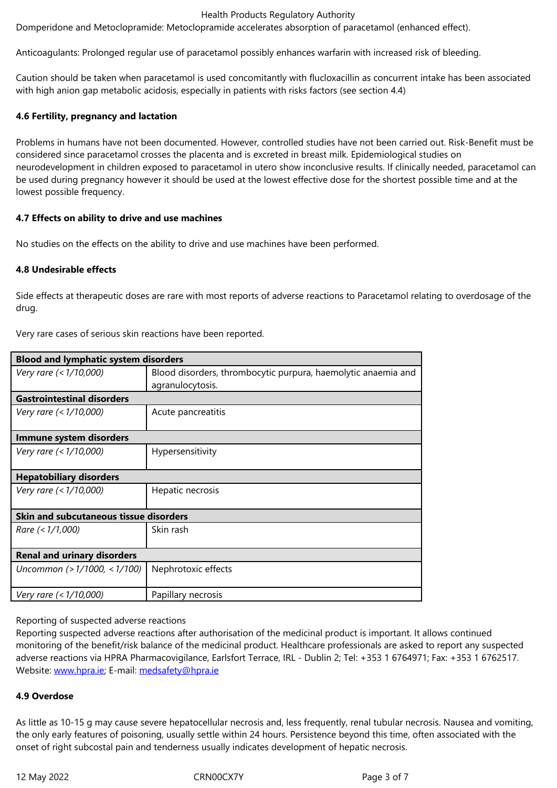Anticoagulants: Prolonged regular use of paracetamol possibly enhances warfarin with increased risk of bleeding.

Caution should be taken when paracetamol is used concomitantly with flucloxacillin as concurrent intake has been associated with high anion gap metabolic acidosis, especially in patients with risks factors (see section 4.4)

# **4.6 Fertility, pregnancy and lactation**

Problems in humans have not been documented. However, controlled studies have not been carried out. Risk-Benefit must be considered since paracetamol crosses the placenta and is excreted in breast milk. Epidemiological studies on neurodevelopment in children exposed to paracetamol in utero show inconclusive results. If clinically needed, paracetamol can be used during pregnancy however it should be used at the lowest effective dose for the shortest possible time and at the lowest possible frequency.

## **4.7 Effects on ability to drive and use machines**

No studies on the effects on the ability to drive and use machines have been performed.

# **4.8 Undesirable effects**

Side effects at therapeutic doses are rare with most reports of adverse reactions to Paracetamol relating to overdosage of the drug.

Very rare cases of serious skin reactions have been reported.

| <b>Blood and lymphatic system disorders</b>   |                                                               |  |
|-----------------------------------------------|---------------------------------------------------------------|--|
| Very rare (< 1/10,000)                        | Blood disorders, thrombocytic purpura, haemolytic anaemia and |  |
|                                               | agranulocytosis.                                              |  |
| <b>Gastrointestinal disorders</b>             |                                                               |  |
| Very rare (< 1/10,000)                        | Acute pancreatitis                                            |  |
| Immune system disorders                       |                                                               |  |
| Very rare (< 1/10,000)                        | Hypersensitivity                                              |  |
| <b>Hepatobiliary disorders</b>                |                                                               |  |
| Very rare (< 1/10,000)                        | Hepatic necrosis                                              |  |
| <b>Skin and subcutaneous tissue disorders</b> |                                                               |  |
| Rare (< 1/1,000)                              | Skin rash                                                     |  |
| <b>Renal and urinary disorders</b>            |                                                               |  |
| Uncommon (> 1/1000, < 1/100)                  | Nephrotoxic effects                                           |  |
| Very rare (< 1/10,000)                        | Papillary necrosis                                            |  |

## Reporting of suspected adverse reactions

Reporting suspected adverse reactions after authorisation of the medicinal product is important. It allows continued monitoring of the benefit/risk balance of the medicinal product. Healthcare professionals are asked to report any suspected adverse reactions via HPRA Pharmacovigilance, Earlsfort Terrace, IRL - Dublin 2; Tel: +353 1 6764971; Fax: +353 1 6762517. Website: www.hpra.ie; E-mail: medsafety@hpra.ie

# **4.9 Overdose**

As little a[s 10-15 g ma](http://www.hpra.ie/)y cause [severe hepatocellul](mailto:medsafety@hpra.ie)ar necrosis and, less frequently, renal tubular necrosis. Nausea and vomiting, the only early features of poisoning, usually settle within 24 hours. Persistence beyond this time, often associated with the onset of right subcostal pain and tenderness usually indicates development of hepatic necrosis.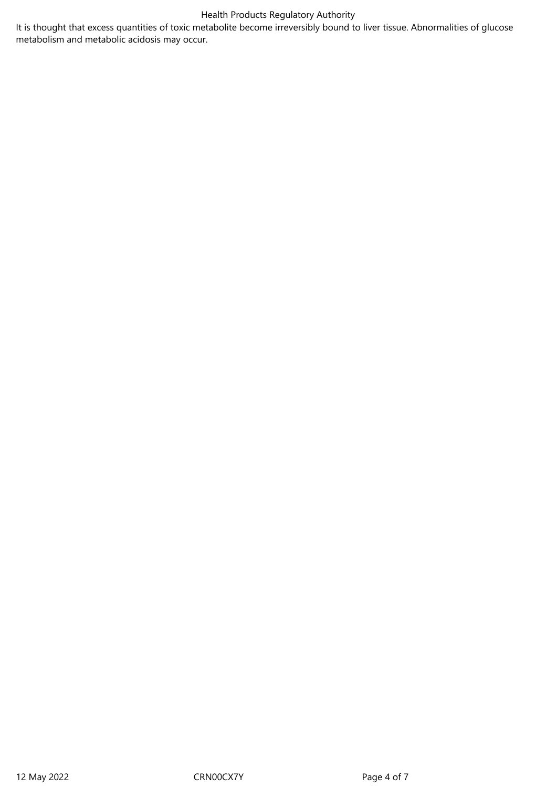# Health Products Regulatory Authority

It is thought that excess quantities of toxic metabolite become irreversibly bound to liver tissue. Abnormalities of glucose metabolism and metabolic acidosis may occur.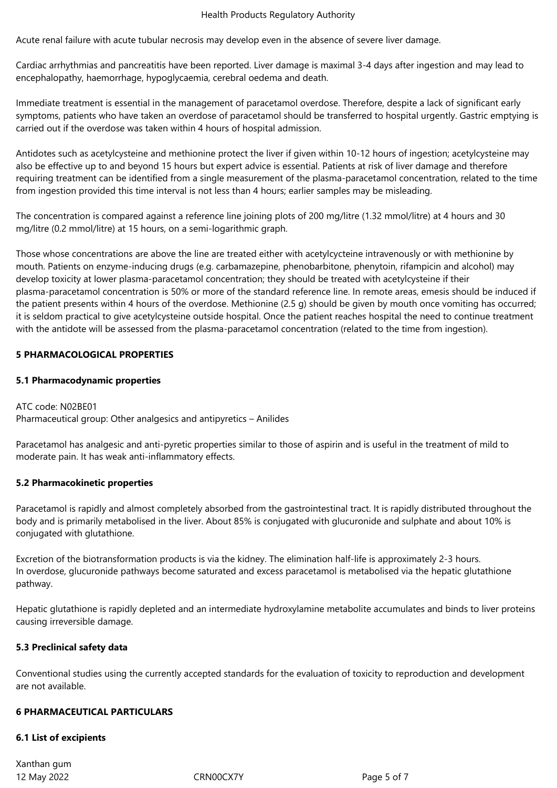#### Health Products Regulatory Authority

Acute renal failure with acute tubular necrosis may develop even in the absence of severe liver damage.

Cardiac arrhythmias and pancreatitis have been reported. Liver damage is maximal 3-4 days after ingestion and may lead to encephalopathy, haemorrhage, hypoglycaemia, cerebral oedema and death.

Immediate treatment is essential in the management of paracetamol overdose. Therefore, despite a lack of significant early symptoms, patients who have taken an overdose of paracetamol should be transferred to hospital urgently. Gastric emptying is carried out if the overdose was taken within 4 hours of hospital admission.

Antidotes such as acetylcysteine and methionine protect the liver if given within 10-12 hours of ingestion; acetylcysteine may also be effective up to and beyond 15 hours but expert advice is essential. Patients at risk of liver damage and therefore requiring treatment can be identified from a single measurement of the plasma-paracetamol concentration, related to the time from ingestion provided this time interval is not less than 4 hours; earlier samples may be misleading.

The concentration is compared against a reference line joining plots of 200 mg/litre (1.32 mmol/litre) at 4 hours and 30 mg/litre (0.2 mmol/litre) at 15 hours, on a semi-logarithmic graph.

Those whose concentrations are above the line are treated either with acetylcycteine intravenously or with methionine by mouth. Patients on enzyme-inducing drugs (e.g. carbamazepine, phenobarbitone, phenytoin, rifampicin and alcohol) may develop toxicity at lower plasma-paracetamol concentration; they should be treated with acetylcysteine if their plasma-paracetamol concentration is 50% or more of the standard reference line. In remote areas, emesis should be induced if the patient presents within 4 hours of the overdose. Methionine (2.5 g) should be given by mouth once vomiting has occurred; it is seldom practical to give acetylcysteine outside hospital. Once the patient reaches hospital the need to continue treatment with the antidote will be assessed from the plasma-paracetamol concentration (related to the time from ingestion).

## **5 PHARMACOLOGICAL PROPERTIES**

## **5.1 Pharmacodynamic properties**

ATC code: N02BE01 Pharmaceutical group: Other analgesics and antipyretics – Anilides

Paracetamol has analgesic and anti-pyretic properties similar to those of aspirin and is useful in the treatment of mild to moderate pain. It has weak anti-inflammatory effects.

## **5.2 Pharmacokinetic properties**

Paracetamol is rapidly and almost completely absorbed from the gastrointestinal tract. It is rapidly distributed throughout the body and is primarily metabolised in the liver. About 85% is conjugated with glucuronide and sulphate and about 10% is conjugated with glutathione.

Excretion of the biotransformation products is via the kidney. The elimination half-life is approximately 2-3 hours. In overdose, glucuronide pathways become saturated and excess paracetamol is metabolised via the hepatic glutathione pathway.

Hepatic glutathione is rapidly depleted and an intermediate hydroxylamine metabolite accumulates and binds to liver proteins causing irreversible damage.

# **5.3 Preclinical safety data**

Conventional studies using the currently accepted standards for the evaluation of toxicity to reproduction and development are not available.

## **6 PHARMACEUTICAL PARTICULARS**

## **6.1 List of excipients**

12 May 2022 CRN00CX7Y Page 5 of 7 Xanthan gum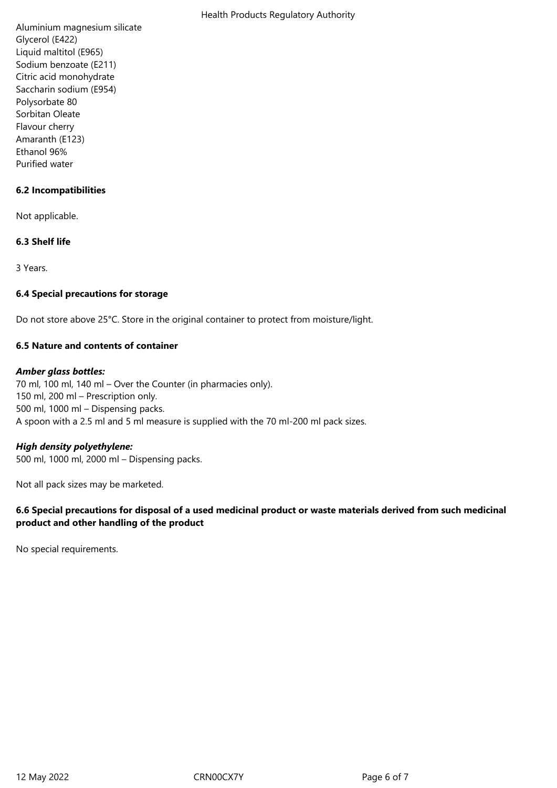Aluminium magnesium silicate Glycerol (E422) Liquid maltitol (E965) Sodium benzoate (E211) Citric acid monohydrate Saccharin sodium (E954) Polysorbate 80 Sorbitan Oleate Flavour cherry Amaranth (E123) Ethanol 96% Purified water

# **6.2 Incompatibilities**

Not applicable.

## **6.3 Shelf life**

3 Years.

## **6.4 Special precautions for storage**

Do not store above 25°C. Store in the original container to protect from moisture/light.

## **6.5 Nature and contents of container**

## *Amber glass bottles:*

70 ml, 100 ml, 140 ml – Over the Counter (in pharmacies only). 150 ml, 200 ml – Prescription only. 500 ml, 1000 ml – Dispensing packs. A spoon with a 2.5 ml and 5 ml measure is supplied with the 70 ml-200 ml pack sizes.

## *High density polyethylene:*

500 ml, 1000 ml, 2000 ml – Dispensing packs.

Not all pack sizes may be marketed.

# **6.6 Special precautions for disposal of a used medicinal product or waste materials derived from such medicinal product and other handling of the product**

No special requirements.